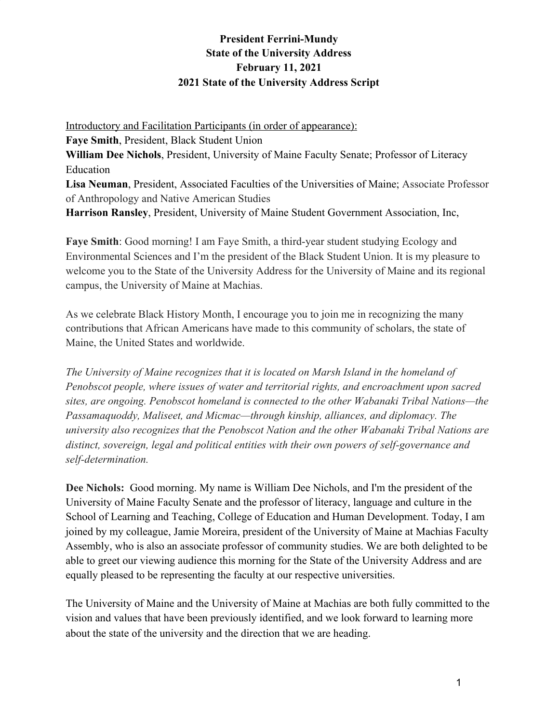# **President Ferrini-Mundy State of the University Address February 11, 2021 2021 State of the University Address Script**

Introductory and Facilitation Participants (in order of appearance): **Faye Smith**, President, Black Student Union **William Dee Nichols**, President, University of Maine Faculty Senate; Professor of Literacy Education **Lisa Neuman**, President, Associated Faculties of the Universities of Maine; Associate Professor of Anthropology and Native American Studies **Harrison Ransley**, President, University of Maine Student Government Association, Inc,

**Faye Smith**: Good morning! I am Faye Smith, a third-year student studying Ecology and Environmental Sciences and I'm the president of the Black Student Union. It is my pleasure to welcome you to the State of the University Address for the University of Maine and its regional campus, the University of Maine at Machias.

As we celebrate Black History Month, I encourage you to join me in recognizing the many contributions that African Americans have made to this community of scholars, the state of Maine, the United States and worldwide.

*The University of Maine recognizes that it is located on Marsh Island in the homeland of Penobscot people, where issues of water and territorial rights, and encroachment upon sacred sites, are ongoing. Penobscot homeland is connected to the other Wabanaki Tribal Nations—the Passamaquoddy, Maliseet, and Micmac—through kinship, alliances, and diplomacy. The university also recognizes that the Penobscot Nation and the other Wabanaki Tribal Nations are distinct, sovereign, legal and political entities with their own powers of self-governance and self-determination.*

**Dee Nichols:** Good morning. My name is William Dee Nichols, and I'm the president of the University of Maine Faculty Senate and the professor of literacy, language and culture in the School of Learning and Teaching, College of Education and Human Development. Today, I am joined by my colleague, Jamie Moreira, president of the University of Maine at Machias Faculty Assembly, who is also an associate professor of community studies. We are both delighted to be able to greet our viewing audience this morning for the State of the University Address and are equally pleased to be representing the faculty at our respective universities.

The University of Maine and the University of Maine at Machias are both fully committed to the vision and values that have been previously identified, and we look forward to learning more about the state of the university and the direction that we are heading.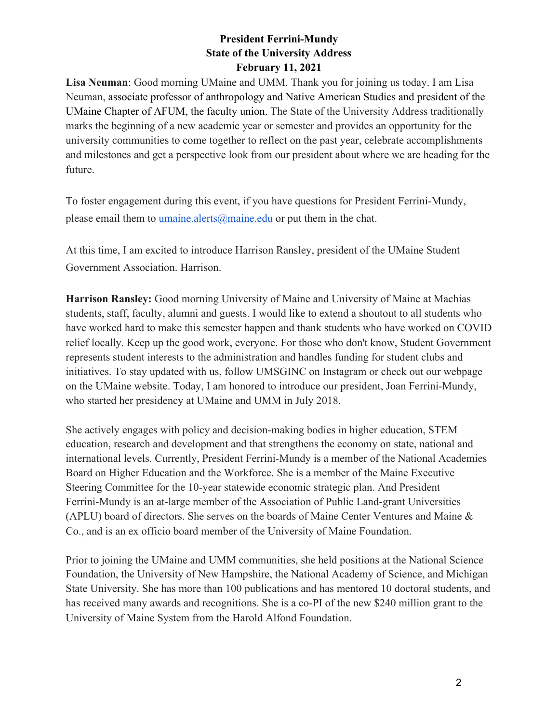**Lisa Neuman**: Good morning UMaine and UMM. Thank you for joining us today. I am Lisa Neuman, associate professor of anthropology and Native American Studies and president of the UMaine Chapter of AFUM, the faculty union. The State of the University Address traditionally marks the beginning of a new academic year or semester and provides an opportunity for the university communities to come together to reflect on the past year, celebrate accomplishments and milestones and get a perspective look from our president about where we are heading for the future.

To foster engagement during this event, if you have questions for President Ferrini-Mundy, please email them to umaine.alerts@maine.edu or put them in the chat.

At this time, I am excited to introduce Harrison Ransley, president of the UMaine Student Government Association. Harrison.

**Harrison Ransley:** Good morning University of Maine and University of Maine at Machias students, staff, faculty, alumni and guests. I would like to extend a shoutout to all students who have worked hard to make this semester happen and thank students who have worked on COVID relief locally. Keep up the good work, everyone. For those who don't know, Student Government represents student interests to the administration and handles funding for student clubs and initiatives. To stay updated with us, follow UMSGINC on Instagram or check out our webpage on the UMaine website. Today, I am honored to introduce our president, Joan Ferrini-Mundy, who started her presidency at UMaine and UMM in July 2018.

She actively engages with policy and decision-making bodies in higher education, STEM education, research and development and that strengthens the economy on state, national and international levels. Currently, President Ferrini-Mundy is a member of the National Academies Board on Higher Education and the Workforce. She is a member of the Maine Executive Steering Committee for the 10-year statewide economic strategic plan. And President Ferrini-Mundy is an at-large member of the Association of Public Land-grant Universities (APLU) board of directors. She serves on the boards of Maine Center Ventures and Maine & Co., and is an ex officio board member of the University of Maine Foundation.

Prior to joining the UMaine and UMM communities, she held positions at the National Science Foundation, the University of New Hampshire, the National Academy of Science, and Michigan State University. She has more than 100 publications and has mentored 10 doctoral students, and has received many awards and recognitions. She is a co-PI of the new \$240 million grant to the University of Maine System from the Harold Alfond Foundation.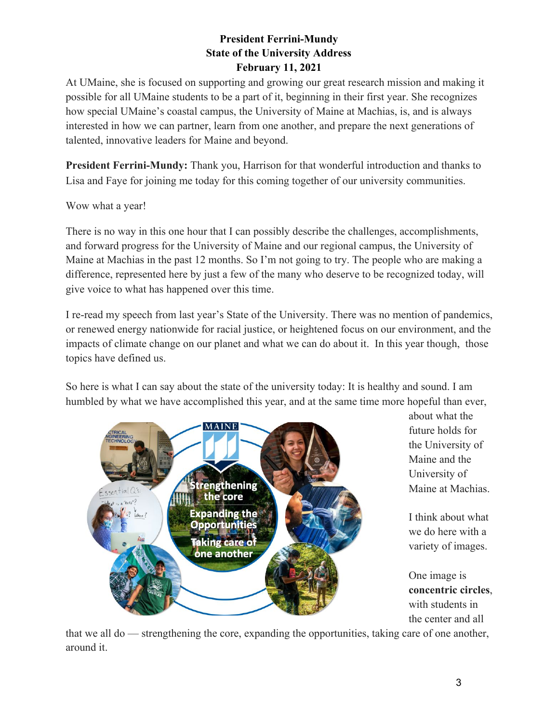At UMaine, she is focused on supporting and growing our great research mission and making it possible for all UMaine students to be a part of it, beginning in their first year. She recognizes how special UMaine's coastal campus, the University of Maine at Machias, is, and is always interested in how we can partner, learn from one another, and prepare the next generations of talented, innovative leaders for Maine and beyond.

**President Ferrini-Mundy:** Thank you, Harrison for that wonderful introduction and thanks to Lisa and Faye for joining me today for this coming together of our university communities.

Wow what a year!

There is no way in this one hour that I can possibly describe the challenges, accomplishments, and forward progress for the University of Maine and our regional campus, the University of Maine at Machias in the past 12 months. So I'm not going to try. The people who are making a difference, represented here by just a few of the many who deserve to be recognized today, will give voice to what has happened over this time.

I re-read my speech from last year's State of the University. There was no mention of pandemics, or renewed energy nationwide for racial justice, or heightened focus on our environment, and the impacts of climate change on our planet and what we can do about it. In this year though, those topics have defined us.

So here is what I can say about the state of the university today: It is healthy and sound. I am humbled by what we have accomplished this year, and at the same time more hopeful than ever,



about what the future holds for the University of Maine and the University of Maine at Machias.

I think about what we do here with a variety of images.

One image is **concentric circles**, with students in the center and all

that we all do — strengthening the core, expanding the opportunities, taking care of one another, around it.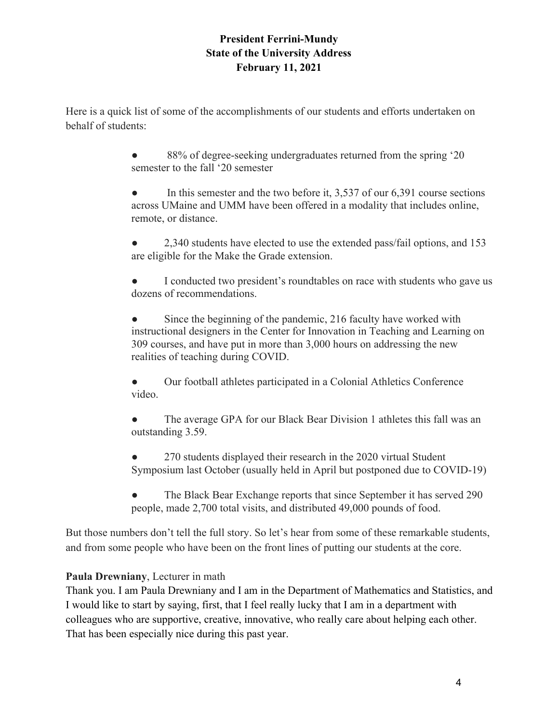Here is a quick list of some of the accomplishments of our students and efforts undertaken on behalf of students:

> 88% of degree-seeking undergraduates returned from the spring '20 semester to the fall '20 semester

In this semester and the two before it,  $3.537$  of our 6,391 course sections across UMaine and UMM have been offered in a modality that includes online, remote, or distance.

• 2,340 students have elected to use the extended pass/fail options, and 153 are eligible for the Make the Grade extension.

• I conducted two president's roundtables on race with students who gave us dozens of recommendations.

• Since the beginning of the pandemic, 216 faculty have worked with instructional designers in the Center for Innovation in Teaching and Learning on 309 courses, and have put in more than 3,000 hours on addressing the new realities of teaching during COVID.

Our football athletes participated in a Colonial Athletics Conference video.

The average GPA for our Black Bear Division 1 athletes this fall was an outstanding 3.59.

270 students displayed their research in the 2020 virtual Student Symposium last October (usually held in April but postponed due to COVID-19)

The Black Bear Exchange reports that since September it has served 290 people, made 2,700 total visits, and distributed 49,000 pounds of food.

But those numbers don't tell the full story. So let's hear from some of these remarkable students, and from some people who have been on the front lines of putting our students at the core.

# **Paula Drewniany**, Lecturer in math

Thank you. I am Paula Drewniany and I am in the Department of Mathematics and Statistics, and I would like to start by saying, first, that I feel really lucky that I am in a department with colleagues who are supportive, creative, innovative, who really care about helping each other. That has been especially nice during this past year.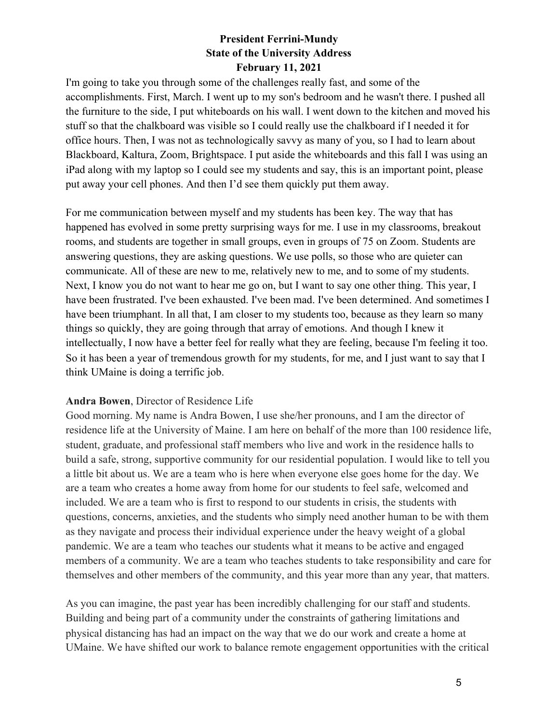I'm going to take you through some of the challenges really fast, and some of the accomplishments. First, March. I went up to my son's bedroom and he wasn't there. I pushed all the furniture to the side, I put whiteboards on his wall. I went down to the kitchen and moved his stuff so that the chalkboard was visible so I could really use the chalkboard if I needed it for office hours. Then, I was not as technologically savvy as many of you, so I had to learn about Blackboard, Kaltura, Zoom, Brightspace. I put aside the whiteboards and this fall I was using an iPad along with my laptop so I could see my students and say, this is an important point, please put away your cell phones. And then I'd see them quickly put them away.

For me communication between myself and my students has been key. The way that has happened has evolved in some pretty surprising ways for me. I use in my classrooms, breakout rooms, and students are together in small groups, even in groups of 75 on Zoom. Students are answering questions, they are asking questions. We use polls, so those who are quieter can communicate. All of these are new to me, relatively new to me, and to some of my students. Next, I know you do not want to hear me go on, but I want to say one other thing. This year, I have been frustrated. I've been exhausted. I've been mad. I've been determined. And sometimes I have been triumphant. In all that, I am closer to my students too, because as they learn so many things so quickly, they are going through that array of emotions. And though I knew it intellectually, I now have a better feel for really what they are feeling, because I'm feeling it too. So it has been a year of tremendous growth for my students, for me, and I just want to say that I think UMaine is doing a terrific job.

#### **Andra Bowen**, Director of Residence Life

Good morning. My name is Andra Bowen, I use she/her pronouns, and I am the director of residence life at the University of Maine. I am here on behalf of the more than 100 residence life, student, graduate, and professional staff members who live and work in the residence halls to build a safe, strong, supportive community for our residential population. I would like to tell you a little bit about us. We are a team who is here when everyone else goes home for the day. We are a team who creates a home away from home for our students to feel safe, welcomed and included. We are a team who is first to respond to our students in crisis, the students with questions, concerns, anxieties, and the students who simply need another human to be with them as they navigate and process their individual experience under the heavy weight of a global pandemic. We are a team who teaches our students what it means to be active and engaged members of a community. We are a team who teaches students to take responsibility and care for themselves and other members of the community, and this year more than any year, that matters.

As you can imagine, the past year has been incredibly challenging for our staff and students. Building and being part of a community under the constraints of gathering limitations and physical distancing has had an impact on the way that we do our work and create a home at UMaine. We have shifted our work to balance remote engagement opportunities with the critical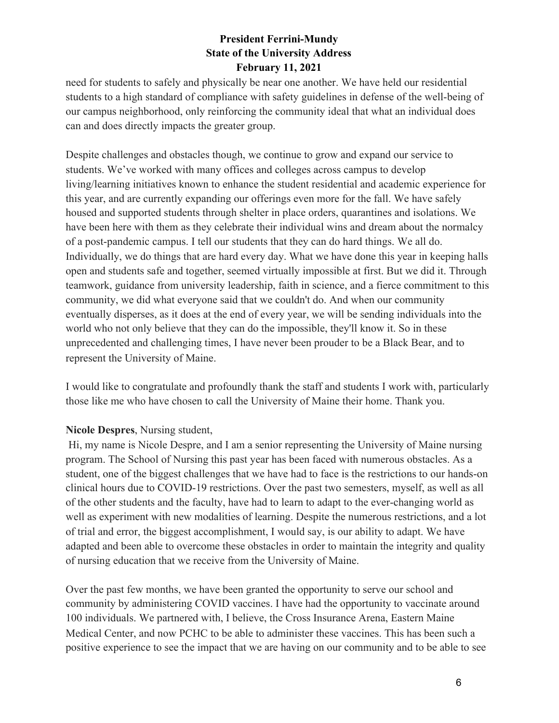need for students to safely and physically be near one another. We have held our residential students to a high standard of compliance with safety guidelines in defense of the well-being of our campus neighborhood, only reinforcing the community ideal that what an individual does can and does directly impacts the greater group.

Despite challenges and obstacles though, we continue to grow and expand our service to students. We've worked with many offices and colleges across campus to develop living/learning initiatives known to enhance the student residential and academic experience for this year, and are currently expanding our offerings even more for the fall. We have safely housed and supported students through shelter in place orders, quarantines and isolations. We have been here with them as they celebrate their individual wins and dream about the normalcy of a post-pandemic campus. I tell our students that they can do hard things. We all do. Individually, we do things that are hard every day. What we have done this year in keeping halls open and students safe and together, seemed virtually impossible at first. But we did it. Through teamwork, guidance from university leadership, faith in science, and a fierce commitment to this community, we did what everyone said that we couldn't do. And when our community eventually disperses, as it does at the end of every year, we will be sending individuals into the world who not only believe that they can do the impossible, they'll know it. So in these unprecedented and challenging times, I have never been prouder to be a Black Bear, and to represent the University of Maine.

I would like to congratulate and profoundly thank the staff and students I work with, particularly those like me who have chosen to call the University of Maine their home. Thank you.

#### **Nicole Despres**, Nursing student,

 Hi, my name is Nicole Despre, and I am a senior representing the University of Maine nursing program. The School of Nursing this past year has been faced with numerous obstacles. As a student, one of the biggest challenges that we have had to face is the restrictions to our hands-on clinical hours due to COVID-19 restrictions. Over the past two semesters, myself, as well as all of the other students and the faculty, have had to learn to adapt to the ever-changing world as well as experiment with new modalities of learning. Despite the numerous restrictions, and a lot of trial and error, the biggest accomplishment, I would say, is our ability to adapt. We have adapted and been able to overcome these obstacles in order to maintain the integrity and quality of nursing education that we receive from the University of Maine.

Over the past few months, we have been granted the opportunity to serve our school and community by administering COVID vaccines. I have had the opportunity to vaccinate around 100 individuals. We partnered with, I believe, the Cross Insurance Arena, Eastern Maine Medical Center, and now PCHC to be able to administer these vaccines. This has been such a positive experience to see the impact that we are having on our community and to be able to see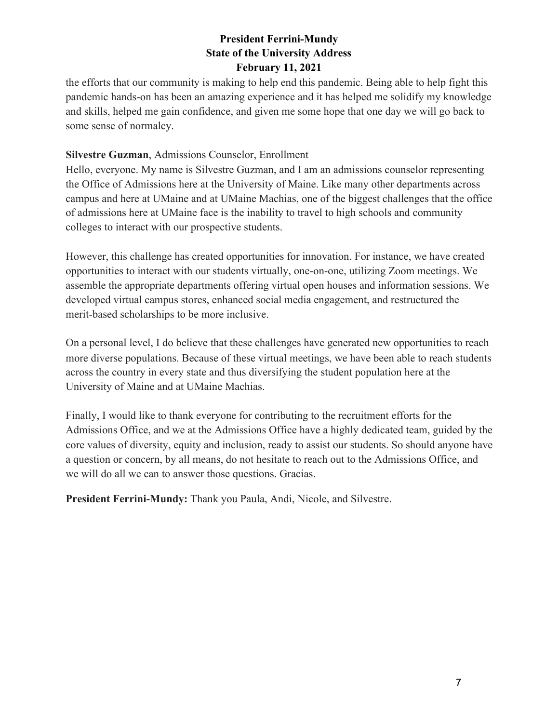the efforts that our community is making to help end this pandemic. Being able to help fight this pandemic hands-on has been an amazing experience and it has helped me solidify my knowledge and skills, helped me gain confidence, and given me some hope that one day we will go back to some sense of normalcy.

#### **Silvestre Guzman**, Admissions Counselor, Enrollment

Hello, everyone. My name is Silvestre Guzman, and I am an admissions counselor representing the Office of Admissions here at the University of Maine. Like many other departments across campus and here at UMaine and at UMaine Machias, one of the biggest challenges that the office of admissions here at UMaine face is the inability to travel to high schools and community colleges to interact with our prospective students.

However, this challenge has created opportunities for innovation. For instance, we have created opportunities to interact with our students virtually, one-on-one, utilizing Zoom meetings. We assemble the appropriate departments offering virtual open houses and information sessions. We developed virtual campus stores, enhanced social media engagement, and restructured the merit-based scholarships to be more inclusive.

On a personal level, I do believe that these challenges have generated new opportunities to reach more diverse populations. Because of these virtual meetings, we have been able to reach students across the country in every state and thus diversifying the student population here at the University of Maine and at UMaine Machias.

Finally, I would like to thank everyone for contributing to the recruitment efforts for the Admissions Office, and we at the Admissions Office have a highly dedicated team, guided by the core values of diversity, equity and inclusion, ready to assist our students. So should anyone have a question or concern, by all means, do not hesitate to reach out to the Admissions Office, and we will do all we can to answer those questions. Gracias.

**President Ferrini-Mundy:** Thank you Paula, Andi, Nicole, and Silvestre.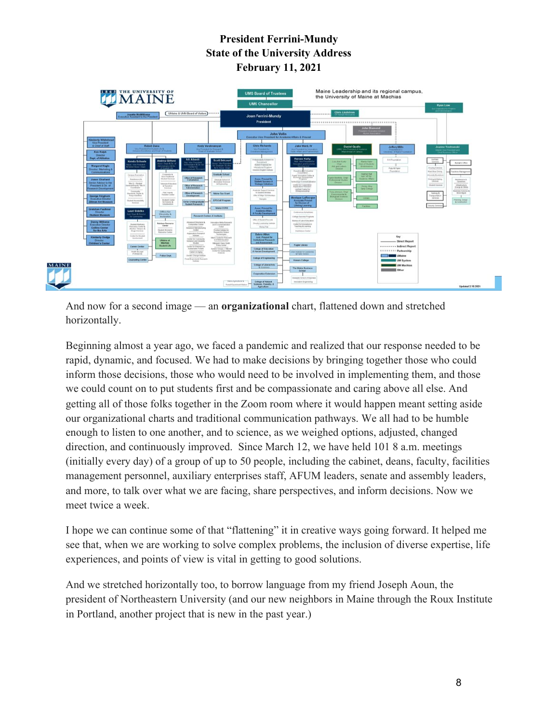

And now for a second image — an **organizational** chart, flattened down and stretched horizontally.

Beginning almost a year ago, we faced a pandemic and realized that our response needed to be rapid, dynamic, and focused. We had to make decisions by bringing together those who could inform those decisions, those who would need to be involved in implementing them, and those we could count on to put students first and be compassionate and caring above all else. And getting all of those folks together in the Zoom room where it would happen meant setting aside our organizational charts and traditional communication pathways. We all had to be humble enough to listen to one another, and to science, as we weighed options, adjusted, changed direction, and continuously improved. Since March 12, we have held 101 8 a.m. meetings (initially every day) of a group of up to 50 people, including the cabinet, deans, faculty, facilities management personnel, auxiliary enterprises staff, AFUM leaders, senate and assembly leaders, and more, to talk over what we are facing, share perspectives, and inform decisions. Now we meet twice a week.

I hope we can continue some of that "flattening" it in creative ways going forward. It helped me see that, when we are working to solve complex problems, the inclusion of diverse expertise, life experiences, and points of view is vital in getting to good solutions.

And we stretched horizontally too, to borrow language from my friend Joseph Aoun, the president of Northeastern University (and our new neighbors in Maine through the Roux Institute in Portland, another project that is new in the past year.)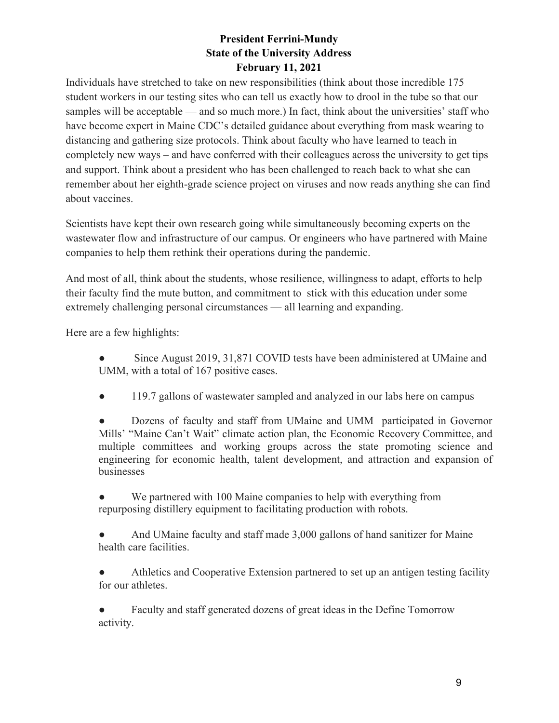Individuals have stretched to take on new responsibilities (think about those incredible 175 student workers in our testing sites who can tell us exactly how to drool in the tube so that our samples will be acceptable — and so much more.) In fact, think about the universities' staff who have become expert in Maine CDC's detailed guidance about everything from mask wearing to distancing and gathering size protocols. Think about faculty who have learned to teach in completely new ways – and have conferred with their colleagues across the university to get tips and support. Think about a president who has been challenged to reach back to what she can remember about her eighth-grade science project on viruses and now reads anything she can find about vaccines.

Scientists have kept their own research going while simultaneously becoming experts on the wastewater flow and infrastructure of our campus. Or engineers who have partnered with Maine companies to help them rethink their operations during the pandemic.

And most of all, think about the students, whose resilience, willingness to adapt, efforts to help their faculty find the mute button, and commitment to stick with this education under some extremely challenging personal circumstances — all learning and expanding.

Here are a few highlights:

Since August 2019, 31,871 COVID tests have been administered at UMaine and UMM, with a total of 167 positive cases.

• 119.7 gallons of wastewater sampled and analyzed in our labs here on campus

Dozens of faculty and staff from UMaine and UMM participated in Governor Mills' "Maine Can't Wait" climate action plan, the Economic Recovery Committee, and multiple committees and working groups across the state promoting science and engineering for economic health, talent development, and attraction and expansion of businesses

We partnered with 100 Maine companies to help with everything from repurposing distillery equipment to facilitating production with robots.

And UMaine faculty and staff made 3,000 gallons of hand sanitizer for Maine health care facilities.

Athletics and Cooperative Extension partnered to set up an antigen testing facility for our athletes.

Faculty and staff generated dozens of great ideas in the Define Tomorrow activity.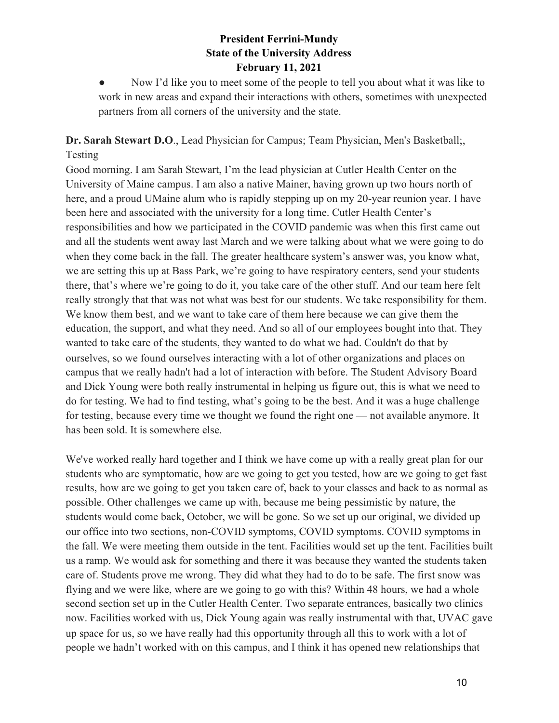• Now I'd like you to meet some of the people to tell you about what it was like to work in new areas and expand their interactions with others, sometimes with unexpected partners from all corners of the university and the state.

### **Dr. Sarah Stewart D.O**., Lead Physician for Campus; Team Physician, Men's Basketball;, Testing

Good morning. I am Sarah Stewart, I'm the lead physician at Cutler Health Center on the University of Maine campus. I am also a native Mainer, having grown up two hours north of here, and a proud UMaine alum who is rapidly stepping up on my 20-year reunion year. I have been here and associated with the university for a long time. Cutler Health Center's responsibilities and how we participated in the COVID pandemic was when this first came out and all the students went away last March and we were talking about what we were going to do when they come back in the fall. The greater healthcare system's answer was, you know what, we are setting this up at Bass Park, we're going to have respiratory centers, send your students there, that's where we're going to do it, you take care of the other stuff. And our team here felt really strongly that that was not what was best for our students. We take responsibility for them. We know them best, and we want to take care of them here because we can give them the education, the support, and what they need. And so all of our employees bought into that. They wanted to take care of the students, they wanted to do what we had. Couldn't do that by ourselves, so we found ourselves interacting with a lot of other organizations and places on campus that we really hadn't had a lot of interaction with before. The Student Advisory Board and Dick Young were both really instrumental in helping us figure out, this is what we need to do for testing. We had to find testing, what's going to be the best. And it was a huge challenge for testing, because every time we thought we found the right one — not available anymore. It has been sold. It is somewhere else.

We've worked really hard together and I think we have come up with a really great plan for our students who are symptomatic, how are we going to get you tested, how are we going to get fast results, how are we going to get you taken care of, back to your classes and back to as normal as possible. Other challenges we came up with, because me being pessimistic by nature, the students would come back, October, we will be gone. So we set up our original, we divided up our office into two sections, non-COVID symptoms, COVID symptoms. COVID symptoms in the fall. We were meeting them outside in the tent. Facilities would set up the tent. Facilities built us a ramp. We would ask for something and there it was because they wanted the students taken care of. Students prove me wrong. They did what they had to do to be safe. The first snow was flying and we were like, where are we going to go with this? Within 48 hours, we had a whole second section set up in the Cutler Health Center. Two separate entrances, basically two clinics now. Facilities worked with us, Dick Young again was really instrumental with that, UVAC gave up space for us, so we have really had this opportunity through all this to work with a lot of people we hadn't worked with on this campus, and I think it has opened new relationships that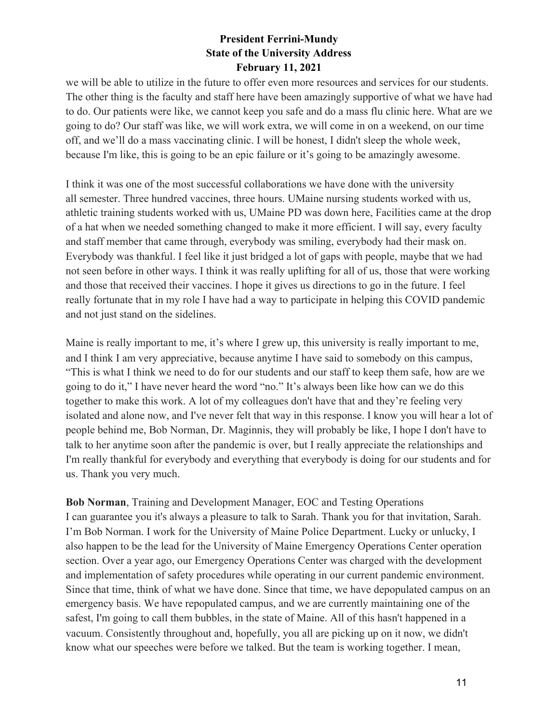we will be able to utilize in the future to offer even more resources and services for our students. The other thing is the faculty and staff here have been amazingly supportive of what we have had to do. Our patients were like, we cannot keep you safe and do a mass flu clinic here. What are we going to do? Our staff was like, we will work extra, we will come in on a weekend, on our time off, and we'll do a mass vaccinating clinic. I will be honest, I didn't sleep the whole week, because I'm like, this is going to be an epic failure or it's going to be amazingly awesome.

I think it was one of the most successful collaborations we have done with the university all semester. Three hundred vaccines, three hours. UMaine nursing students worked with us, athletic training students worked with us, UMaine PD was down here, Facilities came at the drop of a hat when we needed something changed to make it more efficient. I will say, every faculty and staff member that came through, everybody was smiling, everybody had their mask on. Everybody was thankful. I feel like it just bridged a lot of gaps with people, maybe that we had not seen before in other ways. I think it was really uplifting for all of us, those that were working and those that received their vaccines. I hope it gives us directions to go in the future. I feel really fortunate that in my role I have had a way to participate in helping this COVID pandemic and not just stand on the sidelines.

Maine is really important to me, it's where I grew up, this university is really important to me, and I think I am very appreciative, because anytime I have said to somebody on this campus, "This is what I think we need to do for our students and our staff to keep them safe, how are we going to do it," I have never heard the word "no." It's always been like how can we do this together to make this work. A lot of my colleagues don't have that and they're feeling very isolated and alone now, and I've never felt that way in this response. I know you will hear a lot of people behind me, Bob Norman, Dr. Maginnis, they will probably be like, I hope I don't have to talk to her anytime soon after the pandemic is over, but I really appreciate the relationships and I'm really thankful for everybody and everything that everybody is doing for our students and for us. Thank you very much.

**Bob Norman**, Training and Development Manager, EOC and Testing Operations I can guarantee you it's always a pleasure to talk to Sarah. Thank you for that invitation, Sarah. I'm Bob Norman. I work for the University of Maine Police Department. Lucky or unlucky, I also happen to be the lead for the University of Maine Emergency Operations Center operation section. Over a year ago, our Emergency Operations Center was charged with the development and implementation of safety procedures while operating in our current pandemic environment. Since that time, think of what we have done. Since that time, we have depopulated campus on an emergency basis. We have repopulated campus, and we are currently maintaining one of the safest, I'm going to call them bubbles, in the state of Maine. All of this hasn't happened in a vacuum. Consistently throughout and, hopefully, you all are picking up on it now, we didn't know what our speeches were before we talked. But the team is working together. I mean,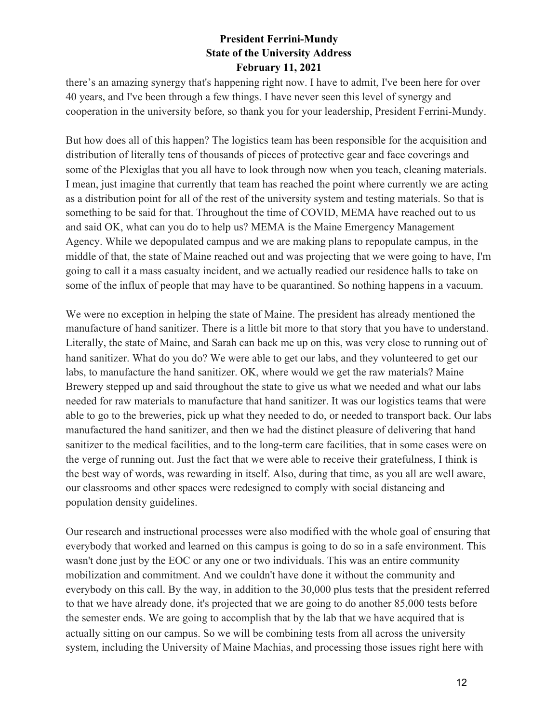there's an amazing synergy that's happening right now. I have to admit, I've been here for over 40 years, and I've been through a few things. I have never seen this level of synergy and cooperation in the university before, so thank you for your leadership, President Ferrini-Mundy.

But how does all of this happen? The logistics team has been responsible for the acquisition and distribution of literally tens of thousands of pieces of protective gear and face coverings and some of the Plexiglas that you all have to look through now when you teach, cleaning materials. I mean, just imagine that currently that team has reached the point where currently we are acting as a distribution point for all of the rest of the university system and testing materials. So that is something to be said for that. Throughout the time of COVID, MEMA have reached out to us and said OK, what can you do to help us? MEMA is the Maine Emergency Management Agency. While we depopulated campus and we are making plans to repopulate campus, in the middle of that, the state of Maine reached out and was projecting that we were going to have, I'm going to call it a mass casualty incident, and we actually readied our residence halls to take on some of the influx of people that may have to be quarantined. So nothing happens in a vacuum.

We were no exception in helping the state of Maine. The president has already mentioned the manufacture of hand sanitizer. There is a little bit more to that story that you have to understand. Literally, the state of Maine, and Sarah can back me up on this, was very close to running out of hand sanitizer. What do you do? We were able to get our labs, and they volunteered to get our labs, to manufacture the hand sanitizer. OK, where would we get the raw materials? Maine Brewery stepped up and said throughout the state to give us what we needed and what our labs needed for raw materials to manufacture that hand sanitizer. It was our logistics teams that were able to go to the breweries, pick up what they needed to do, or needed to transport back. Our labs manufactured the hand sanitizer, and then we had the distinct pleasure of delivering that hand sanitizer to the medical facilities, and to the long-term care facilities, that in some cases were on the verge of running out. Just the fact that we were able to receive their gratefulness, I think is the best way of words, was rewarding in itself. Also, during that time, as you all are well aware, our classrooms and other spaces were redesigned to comply with social distancing and population density guidelines.

Our research and instructional processes were also modified with the whole goal of ensuring that everybody that worked and learned on this campus is going to do so in a safe environment. This wasn't done just by the EOC or any one or two individuals. This was an entire community mobilization and commitment. And we couldn't have done it without the community and everybody on this call. By the way, in addition to the 30,000 plus tests that the president referred to that we have already done, it's projected that we are going to do another 85,000 tests before the semester ends. We are going to accomplish that by the lab that we have acquired that is actually sitting on our campus. So we will be combining tests from all across the university system, including the University of Maine Machias, and processing those issues right here with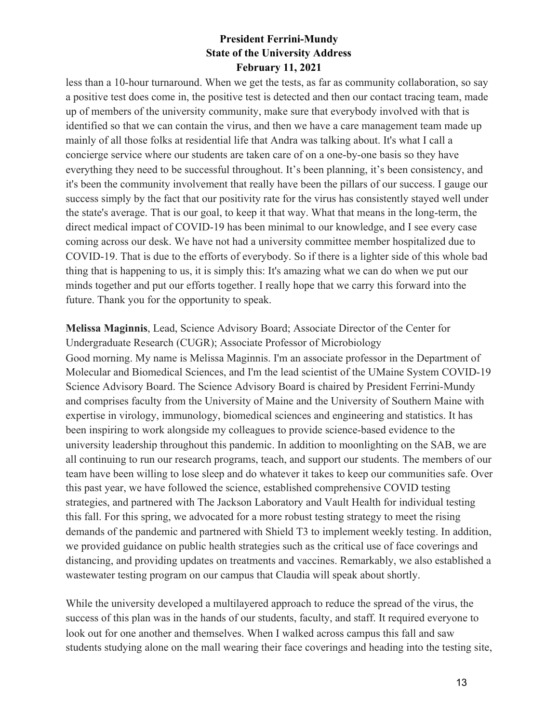less than a 10-hour turnaround. When we get the tests, as far as community collaboration, so say a positive test does come in, the positive test is detected and then our contact tracing team, made up of members of the university community, make sure that everybody involved with that is identified so that we can contain the virus, and then we have a care management team made up mainly of all those folks at residential life that Andra was talking about. It's what I call a concierge service where our students are taken care of on a one-by-one basis so they have everything they need to be successful throughout. It's been planning, it's been consistency, and it's been the community involvement that really have been the pillars of our success. I gauge our success simply by the fact that our positivity rate for the virus has consistently stayed well under the state's average. That is our goal, to keep it that way. What that means in the long-term, the direct medical impact of COVID-19 has been minimal to our knowledge, and I see every case coming across our desk. We have not had a university committee member hospitalized due to COVID-19. That is due to the efforts of everybody. So if there is a lighter side of this whole bad thing that is happening to us, it is simply this: It's amazing what we can do when we put our minds together and put our efforts together. I really hope that we carry this forward into the future. Thank you for the opportunity to speak.

**Melissa Maginnis**, Lead, Science Advisory Board; Associate Director of the Center for Undergraduate Research (CUGR); Associate Professor of Microbiology

Good morning. My name is Melissa Maginnis. I'm an associate professor in the Department of Molecular and Biomedical Sciences, and I'm the lead scientist of the UMaine System COVID-19 Science Advisory Board. The Science Advisory Board is chaired by President Ferrini-Mundy and comprises faculty from the University of Maine and the University of Southern Maine with expertise in virology, immunology, biomedical sciences and engineering and statistics. It has been inspiring to work alongside my colleagues to provide science-based evidence to the university leadership throughout this pandemic. In addition to moonlighting on the SAB, we are all continuing to run our research programs, teach, and support our students. The members of our team have been willing to lose sleep and do whatever it takes to keep our communities safe. Over this past year, we have followed the science, established comprehensive COVID testing strategies, and partnered with The Jackson Laboratory and Vault Health for individual testing this fall. For this spring, we advocated for a more robust testing strategy to meet the rising demands of the pandemic and partnered with Shield T3 to implement weekly testing. In addition, we provided guidance on public health strategies such as the critical use of face coverings and distancing, and providing updates on treatments and vaccines. Remarkably, we also established a wastewater testing program on our campus that Claudia will speak about shortly.

While the university developed a multilayered approach to reduce the spread of the virus, the success of this plan was in the hands of our students, faculty, and staff. It required everyone to look out for one another and themselves. When I walked across campus this fall and saw students studying alone on the mall wearing their face coverings and heading into the testing site,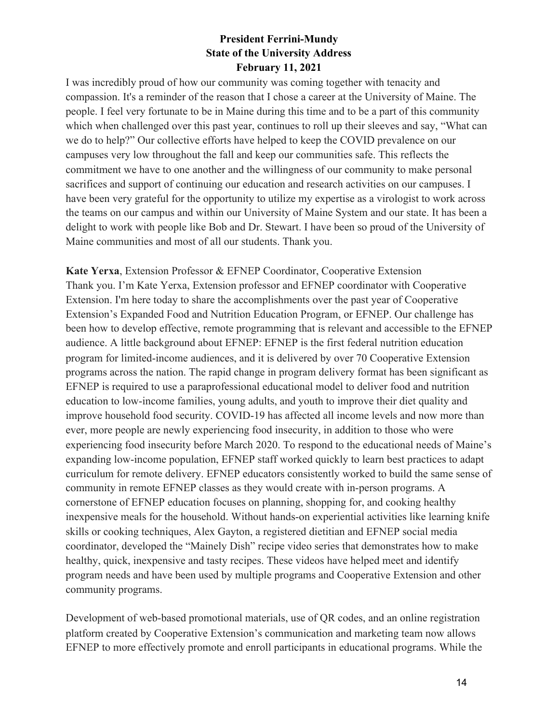I was incredibly proud of how our community was coming together with tenacity and compassion. It's a reminder of the reason that I chose a career at the University of Maine. The people. I feel very fortunate to be in Maine during this time and to be a part of this community which when challenged over this past year, continues to roll up their sleeves and say, "What can we do to help?" Our collective efforts have helped to keep the COVID prevalence on our campuses very low throughout the fall and keep our communities safe. This reflects the commitment we have to one another and the willingness of our community to make personal sacrifices and support of continuing our education and research activities on our campuses. I have been very grateful for the opportunity to utilize my expertise as a virologist to work across the teams on our campus and within our University of Maine System and our state. It has been a delight to work with people like Bob and Dr. Stewart. I have been so proud of the University of Maine communities and most of all our students. Thank you.

**Kate Yerxa**, Extension Professor & EFNEP Coordinator, Cooperative Extension Thank you. I'm Kate Yerxa, Extension professor and EFNEP coordinator with Cooperative Extension. I'm here today to share the accomplishments over the past year of Cooperative Extension's Expanded Food and Nutrition Education Program, or EFNEP. Our challenge has been how to develop effective, remote programming that is relevant and accessible to the EFNEP audience. A little background about EFNEP: EFNEP is the first federal nutrition education program for limited-income audiences, and it is delivered by over 70 Cooperative Extension programs across the nation. The rapid change in program delivery format has been significant as EFNEP is required to use a paraprofessional educational model to deliver food and nutrition education to low-income families, young adults, and youth to improve their diet quality and improve household food security. COVID-19 has affected all income levels and now more than ever, more people are newly experiencing food insecurity, in addition to those who were experiencing food insecurity before March 2020. To respond to the educational needs of Maine's expanding low-income population, EFNEP staff worked quickly to learn best practices to adapt curriculum for remote delivery. EFNEP educators consistently worked to build the same sense of community in remote EFNEP classes as they would create with in-person programs. A cornerstone of EFNEP education focuses on planning, shopping for, and cooking healthy inexpensive meals for the household. Without hands-on experiential activities like learning knife skills or cooking techniques, Alex Gayton, a registered dietitian and EFNEP social media coordinator, developed the "Mainely Dish" recipe video series that demonstrates how to make healthy, quick, inexpensive and tasty recipes. These videos have helped meet and identify program needs and have been used by multiple programs and Cooperative Extension and other community programs.

Development of web-based promotional materials, use of QR codes, and an online registration platform created by Cooperative Extension's communication and marketing team now allows EFNEP to more effectively promote and enroll participants in educational programs. While the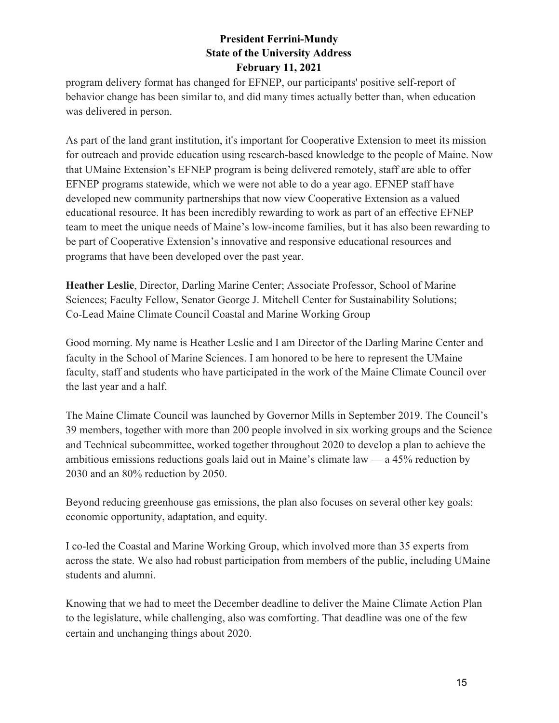program delivery format has changed for EFNEP, our participants' positive self-report of behavior change has been similar to, and did many times actually better than, when education was delivered in person.

As part of the land grant institution, it's important for Cooperative Extension to meet its mission for outreach and provide education using research-based knowledge to the people of Maine. Now that UMaine Extension's EFNEP program is being delivered remotely, staff are able to offer EFNEP programs statewide, which we were not able to do a year ago. EFNEP staff have developed new community partnerships that now view Cooperative Extension as a valued educational resource. It has been incredibly rewarding to work as part of an effective EFNEP team to meet the unique needs of Maine's low-income families, but it has also been rewarding to be part of Cooperative Extension's innovative and responsive educational resources and programs that have been developed over the past year.

**Heather Leslie**, Director, Darling Marine Center; Associate Professor, School of Marine Sciences; Faculty Fellow, Senator George J. Mitchell Center for Sustainability Solutions; Co-Lead Maine Climate Council Coastal and Marine Working Group

Good morning. My name is Heather Leslie and I am Director of the Darling Marine Center and faculty in the School of Marine Sciences. I am honored to be here to represent the UMaine faculty, staff and students who have participated in the work of the Maine Climate Council over the last year and a half.

The Maine Climate Council was launched by Governor Mills in September 2019. The Council's 39 members, together with more than 200 people involved in six working groups and the Science and Technical subcommittee, worked together throughout 2020 to develop a plan to achieve the ambitious emissions reductions goals laid out in Maine's climate law — a 45% reduction by 2030 and an 80% reduction by 2050.

Beyond reducing greenhouse gas emissions, the plan also focuses on several other key goals: economic opportunity, adaptation, and equity.

I co-led the Coastal and Marine Working Group, which involved more than 35 experts from across the state. We also had robust participation from members of the public, including UMaine students and alumni.

Knowing that we had to meet the December deadline to deliver the Maine Climate Action Plan to the legislature, while challenging, also was comforting. That deadline was one of the few certain and unchanging things about 2020.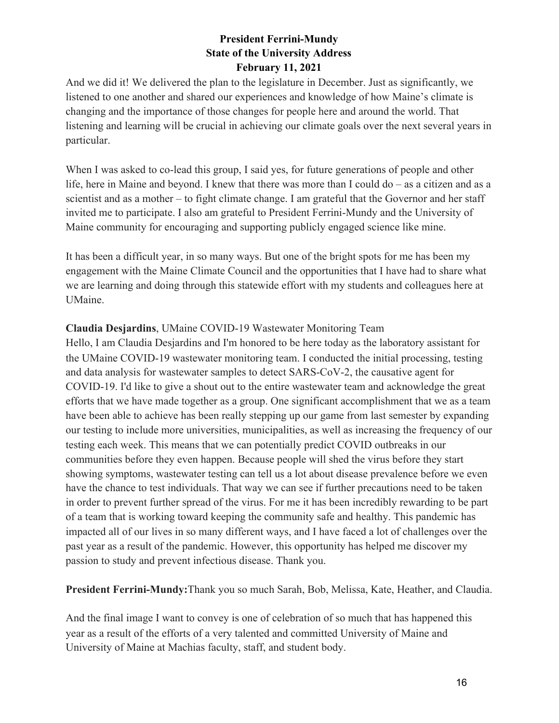And we did it! We delivered the plan to the legislature in December. Just as significantly, we listened to one another and shared our experiences and knowledge of how Maine's climate is changing and the importance of those changes for people here and around the world. That listening and learning will be crucial in achieving our climate goals over the next several years in particular.

When I was asked to co-lead this group, I said yes, for future generations of people and other life, here in Maine and beyond. I knew that there was more than I could do – as a citizen and as a scientist and as a mother – to fight climate change. I am grateful that the Governor and her staff invited me to participate. I also am grateful to President Ferrini-Mundy and the University of Maine community for encouraging and supporting publicly engaged science like mine.

It has been a difficult year, in so many ways. But one of the bright spots for me has been my engagement with the Maine Climate Council and the opportunities that I have had to share what we are learning and doing through this statewide effort with my students and colleagues here at UMaine.

#### **Claudia Desjardins**, UMaine COVID-19 Wastewater Monitoring Team

Hello, I am Claudia Desjardins and I'm honored to be here today as the laboratory assistant for the UMaine COVID-19 wastewater monitoring team. I conducted the initial processing, testing and data analysis for wastewater samples to detect SARS-CoV-2, the causative agent for COVID-19. I'd like to give a shout out to the entire wastewater team and acknowledge the great efforts that we have made together as a group. One significant accomplishment that we as a team have been able to achieve has been really stepping up our game from last semester by expanding our testing to include more universities, municipalities, as well as increasing the frequency of our testing each week. This means that we can potentially predict COVID outbreaks in our communities before they even happen. Because people will shed the virus before they start showing symptoms, wastewater testing can tell us a lot about disease prevalence before we even have the chance to test individuals. That way we can see if further precautions need to be taken in order to prevent further spread of the virus. For me it has been incredibly rewarding to be part of a team that is working toward keeping the community safe and healthy. This pandemic has impacted all of our lives in so many different ways, and I have faced a lot of challenges over the past year as a result of the pandemic. However, this opportunity has helped me discover my passion to study and prevent infectious disease. Thank you.

**President Ferrini-Mundy:**Thank you so much Sarah, Bob, Melissa, Kate, Heather, and Claudia.

And the final image I want to convey is one of celebration of so much that has happened this year as a result of the efforts of a very talented and committed University of Maine and University of Maine at Machias faculty, staff, and student body.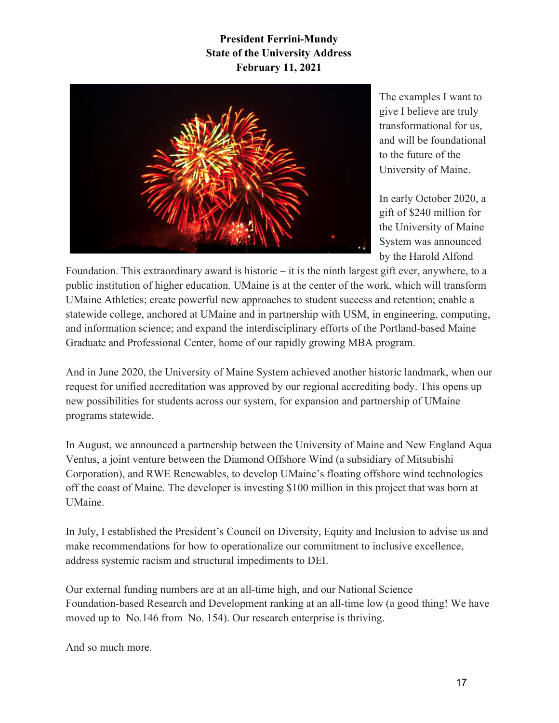

The examples I want to give I believe are truly transformational for us, and will be foundational to the future of the University of Maine.

In early October 2020, a gift of \$240 million for the University of Maine System was announced by the Harold Alfond

Foundation. This extraordinary award is historic – it is the ninth largest gift ever, anywhere, to a public institution of higher education. UMaine is at the center of the work, which will transform UMaine Athletics; create powerful new approaches to student success and retention; enable a statewide college, anchored at UMaine and in partnership with USM, in engineering, computing, and information science; and expand the interdisciplinary efforts of the Portland-based Maine Graduate and Professional Center, home of our rapidly growing MBA program.

And in June 2020, the University of Maine System achieved another historic landmark, when our request for unified accreditation was approved by our regional accrediting body. This opens up new possibilities for students across our system, for expansion and partnership of UMaine programs statewide.

In August, we announced a partnership between the University of Maine and New England Aqua Ventus, a joint venture between the Diamond Offshore Wind (a subsidiary of Mitsubishi Corporation), and RWE Renewables, to develop UMaine's floating offshore wind technologies off the coast of Maine. The developer is investing \$100 million in this project that was born at UMaine.

In July, I established the President's Council on Diversity, Equity and Inclusion to advise us and make recommendations for how to operationalize our commitment to inclusive excellence, address systemic racism and structural impediments to DEI.

Our external funding numbers are at an all-time high, and our National Science Foundation-based Research and Development ranking at an all-time low (a good thing! We have moved up to No.146 from No. 154). Our research enterprise is thriving.

And so much more.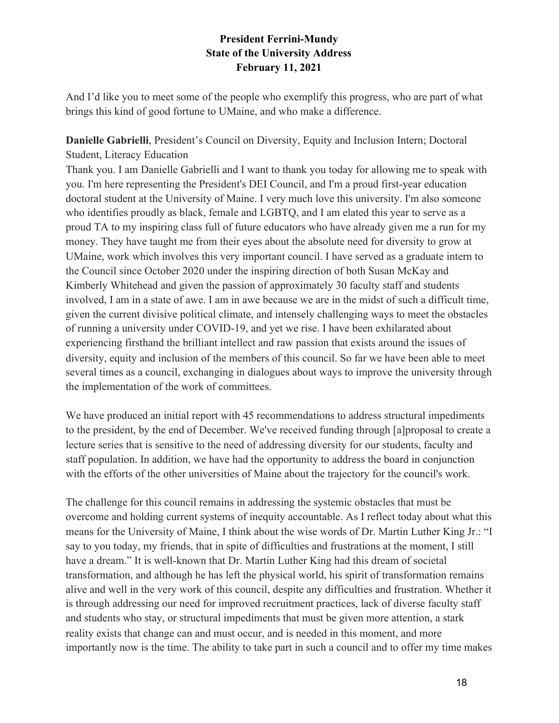And I'd like you to meet some of the people who exemplify this progress, who are part of what brings this kind of good fortune to UMaine, and who make a difference.

### **Danielle Gabrielli**, President's Council on Diversity, Equity and Inclusion Intern; Doctoral Student, Literacy Education

Thank you. I am Danielle Gabrielli and I want to thank you today for allowing me to speak with you. I'm here representing the President's DEI Council, and I'm a proud first-year education doctoral student at the University of Maine. I very much love this university. I'm also someone who identifies proudly as black, female and LGBTQ, and I am elated this year to serve as a proud TA to my inspiring class full of future educators who have already given me a run for my money. They have taught me from their eyes about the absolute need for diversity to grow at UMaine, work which involves this very important council. I have served as a graduate intern to the Council since October 2020 under the inspiring direction of both Susan McKay and Kimberly Whitehead and given the passion of approximately 30 faculty staff and students involved, I am in a state of awe. I am in awe because we are in the midst of such a difficult time, given the current divisive political climate, and intensely challenging ways to meet the obstacles of running a university under COVID-19, and yet we rise. I have been exhilarated about experiencing firsthand the brilliant intellect and raw passion that exists around the issues of diversity, equity and inclusion of the members of this council. So far we have been able to meet several times as a council, exchanging in dialogues about ways to improve the university through the implementation of the work of committees.

We have produced an initial report with 45 recommendations to address structural impediments to the president, by the end of December. We've received funding through [a]proposal to create a lecture series that is sensitive to the need of addressing diversity for our students, faculty and staff population. In addition, we have had the opportunity to address the board in conjunction with the efforts of the other universities of Maine about the trajectory for the council's work.

The challenge for this council remains in addressing the systemic obstacles that must be overcome and holding current systems of inequity accountable. As I reflect today about what this means for the University of Maine, I think about the wise words of Dr. Martin Luther King Jr.: "I say to you today, my friends, that in spite of difficulties and frustrations at the moment, I still have a dream." It is well-known that Dr. Martin Luther King had this dream of societal transformation, and although he has left the physical world, his spirit of transformation remains alive and well in the very work of this council, despite any difficulties and frustration. Whether it is through addressing our need for improved recruitment practices, lack of diverse faculty staff and students who stay, or structural impediments that must be given more attention, a stark reality exists that change can and must occur, and is needed in this moment, and more importantly now is the time. The ability to take part in such a council and to offer my time makes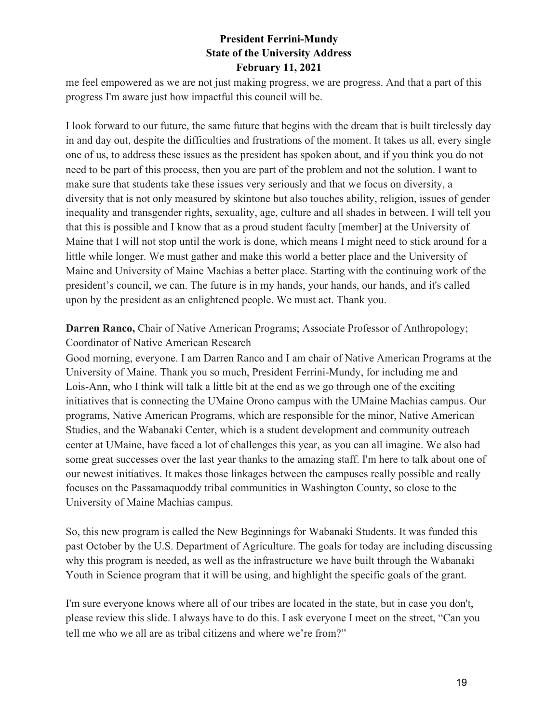me feel empowered as we are not just making progress, we are progress. And that a part of this progress I'm aware just how impactful this council will be.

I look forward to our future, the same future that begins with the dream that is built tirelessly day in and day out, despite the difficulties and frustrations of the moment. It takes us all, every single one of us, to address these issues as the president has spoken about, and if you think you do not need to be part of this process, then you are part of the problem and not the solution. I want to make sure that students take these issues very seriously and that we focus on diversity, a diversity that is not only measured by skintone but also touches ability, religion, issues of gender inequality and transgender rights, sexuality, age, culture and all shades in between. I will tell you that this is possible and I know that as a proud student faculty [member] at the University of Maine that I will not stop until the work is done, which means I might need to stick around for a little while longer. We must gather and make this world a better place and the University of Maine and University of Maine Machias a better place. Starting with the continuing work of the president's council, we can. The future is in my hands, your hands, our hands, and it's called upon by the president as an enlightened people. We must act. Thank you.

#### **Darren Ranco,** Chair of Native American Programs; Associate Professor of Anthropology; Coordinator of Native American Research

Good morning, everyone. I am Darren Ranco and I am chair of Native American Programs at the University of Maine. Thank you so much, President Ferrini-Mundy, for including me and Lois-Ann, who I think will talk a little bit at the end as we go through one of the exciting initiatives that is connecting the UMaine Orono campus with the UMaine Machias campus. Our programs, Native American Programs, which are responsible for the minor, Native American Studies, and the Wabanaki Center, which is a student development and community outreach center at UMaine, have faced a lot of challenges this year, as you can all imagine. We also had some great successes over the last year thanks to the amazing staff. I'm here to talk about one of our newest initiatives. It makes those linkages between the campuses really possible and really focuses on the Passamaquoddy tribal communities in Washington County, so close to the University of Maine Machias campus.

So, this new program is called the New Beginnings for Wabanaki Students. It was funded this past October by the U.S. Department of Agriculture. The goals for today are including discussing why this program is needed, as well as the infrastructure we have built through the Wabanaki Youth in Science program that it will be using, and highlight the specific goals of the grant.

I'm sure everyone knows where all of our tribes are located in the state, but in case you don't, please review this slide. I always have to do this. I ask everyone I meet on the street, "Can you tell me who we all are as tribal citizens and where we're from?"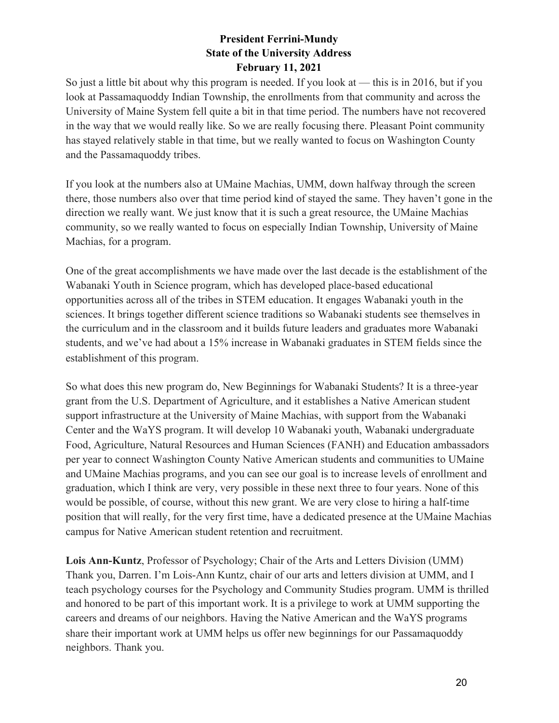So just a little bit about why this program is needed. If you look at — this is in 2016, but if you look at Passamaquoddy Indian Township, the enrollments from that community and across the University of Maine System fell quite a bit in that time period. The numbers have not recovered in the way that we would really like. So we are really focusing there. Pleasant Point community has stayed relatively stable in that time, but we really wanted to focus on Washington County and the Passamaquoddy tribes.

If you look at the numbers also at UMaine Machias, UMM, down halfway through the screen there, those numbers also over that time period kind of stayed the same. They haven't gone in the direction we really want. We just know that it is such a great resource, the UMaine Machias community, so we really wanted to focus on especially Indian Township, University of Maine Machias, for a program.

One of the great accomplishments we have made over the last decade is the establishment of the Wabanaki Youth in Science program, which has developed place-based educational opportunities across all of the tribes in STEM education. It engages Wabanaki youth in the sciences. It brings together different science traditions so Wabanaki students see themselves in the curriculum and in the classroom and it builds future leaders and graduates more Wabanaki students, and we've had about a 15% increase in Wabanaki graduates in STEM fields since the establishment of this program.

So what does this new program do, New Beginnings for Wabanaki Students? It is a three-year grant from the U.S. Department of Agriculture, and it establishes a Native American student support infrastructure at the University of Maine Machias, with support from the Wabanaki Center and the WaYS program. It will develop 10 Wabanaki youth, Wabanaki undergraduate Food, Agriculture, Natural Resources and Human Sciences (FANH) and Education ambassadors per year to connect Washington County Native American students and communities to UMaine and UMaine Machias programs, and you can see our goal is to increase levels of enrollment and graduation, which I think are very, very possible in these next three to four years. None of this would be possible, of course, without this new grant. We are very close to hiring a half-time position that will really, for the very first time, have a dedicated presence at the UMaine Machias campus for Native American student retention and recruitment.

**Lois Ann-Kuntz**, Professor of Psychology; Chair of the Arts and Letters Division (UMM) Thank you, Darren. I'm Lois-Ann Kuntz, chair of our arts and letters division at UMM, and I teach psychology courses for the Psychology and Community Studies program. UMM is thrilled and honored to be part of this important work. It is a privilege to work at UMM supporting the careers and dreams of our neighbors. Having the Native American and the WaYS programs share their important work at UMM helps us offer new beginnings for our Passamaquoddy neighbors. Thank you.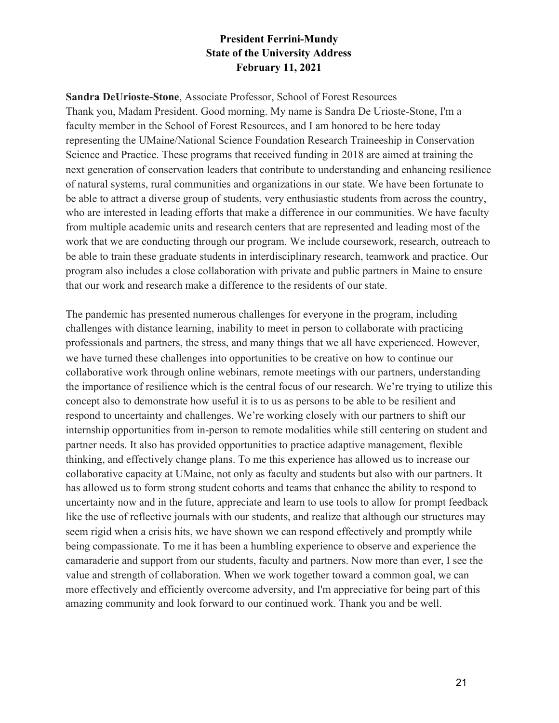**Sandra DeUrioste-Stone**, Associate Professor, School of Forest Resources Thank you, Madam President. Good morning. My name is Sandra De Urioste-Stone, I'm a faculty member in the School of Forest Resources, and I am honored to be here today representing the UMaine/National Science Foundation Research Traineeship in Conservation Science and Practice. These programs that received funding in 2018 are aimed at training the next generation of conservation leaders that contribute to understanding and enhancing resilience of natural systems, rural communities and organizations in our state. We have been fortunate to be able to attract a diverse group of students, very enthusiastic students from across the country, who are interested in leading efforts that make a difference in our communities. We have faculty from multiple academic units and research centers that are represented and leading most of the work that we are conducting through our program. We include coursework, research, outreach to be able to train these graduate students in interdisciplinary research, teamwork and practice. Our program also includes a close collaboration with private and public partners in Maine to ensure that our work and research make a difference to the residents of our state.

The pandemic has presented numerous challenges for everyone in the program, including challenges with distance learning, inability to meet in person to collaborate with practicing professionals and partners, the stress, and many things that we all have experienced. However, we have turned these challenges into opportunities to be creative on how to continue our collaborative work through online webinars, remote meetings with our partners, understanding the importance of resilience which is the central focus of our research. We're trying to utilize this concept also to demonstrate how useful it is to us as persons to be able to be resilient and respond to uncertainty and challenges. We're working closely with our partners to shift our internship opportunities from in-person to remote modalities while still centering on student and partner needs. It also has provided opportunities to practice adaptive management, flexible thinking, and effectively change plans. To me this experience has allowed us to increase our collaborative capacity at UMaine, not only as faculty and students but also with our partners. It has allowed us to form strong student cohorts and teams that enhance the ability to respond to uncertainty now and in the future, appreciate and learn to use tools to allow for prompt feedback like the use of reflective journals with our students, and realize that although our structures may seem rigid when a crisis hits, we have shown we can respond effectively and promptly while being compassionate. To me it has been a humbling experience to observe and experience the camaraderie and support from our students, faculty and partners. Now more than ever, I see the value and strength of collaboration. When we work together toward a common goal, we can more effectively and efficiently overcome adversity, and I'm appreciative for being part of this amazing community and look forward to our continued work. Thank you and be well.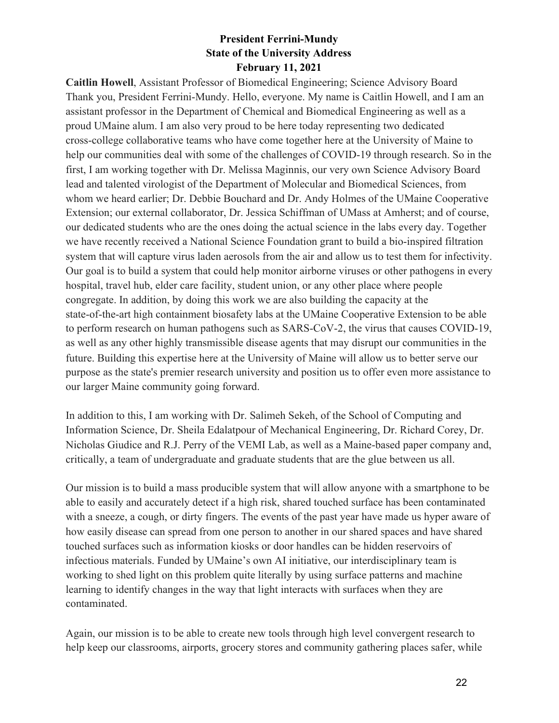**Caitlin Howell**, Assistant Professor of Biomedical Engineering; Science Advisory Board Thank you, President Ferrini-Mundy. Hello, everyone. My name is Caitlin Howell, and I am an assistant professor in the Department of Chemical and Biomedical Engineering as well as a proud UMaine alum. I am also very proud to be here today representing two dedicated cross-college collaborative teams who have come together here at the University of Maine to help our communities deal with some of the challenges of COVID-19 through research. So in the first, I am working together with Dr. Melissa Maginnis, our very own Science Advisory Board lead and talented virologist of the Department of Molecular and Biomedical Sciences, from whom we heard earlier; Dr. Debbie Bouchard and Dr. Andy Holmes of the UMaine Cooperative Extension; our external collaborator, Dr. Jessica Schiffman of UMass at Amherst; and of course, our dedicated students who are the ones doing the actual science in the labs every day. Together we have recently received a National Science Foundation grant to build a bio-inspired filtration system that will capture virus laden aerosols from the air and allow us to test them for infectivity. Our goal is to build a system that could help monitor airborne viruses or other pathogens in every hospital, travel hub, elder care facility, student union, or any other place where people congregate. In addition, by doing this work we are also building the capacity at the state-of-the-art high containment biosafety labs at the UMaine Cooperative Extension to be able to perform research on human pathogens such as SARS-CoV-2, the virus that causes COVID-19, as well as any other highly transmissible disease agents that may disrupt our communities in the future. Building this expertise here at the University of Maine will allow us to better serve our purpose as the state's premier research university and position us to offer even more assistance to our larger Maine community going forward.

In addition to this, I am working with Dr. Salimeh Sekeh, of the School of Computing and Information Science, Dr. Sheila Edalatpour of Mechanical Engineering, Dr. Richard Corey, Dr. Nicholas Giudice and R.J. Perry of the VEMI Lab, as well as a Maine-based paper company and, critically, a team of undergraduate and graduate students that are the glue between us all.

Our mission is to build a mass producible system that will allow anyone with a smartphone to be able to easily and accurately detect if a high risk, shared touched surface has been contaminated with a sneeze, a cough, or dirty fingers. The events of the past year have made us hyper aware of how easily disease can spread from one person to another in our shared spaces and have shared touched surfaces such as information kiosks or door handles can be hidden reservoirs of infectious materials. Funded by UMaine's own AI initiative, our interdisciplinary team is working to shed light on this problem quite literally by using surface patterns and machine learning to identify changes in the way that light interacts with surfaces when they are contaminated.

Again, our mission is to be able to create new tools through high level convergent research to help keep our classrooms, airports, grocery stores and community gathering places safer, while